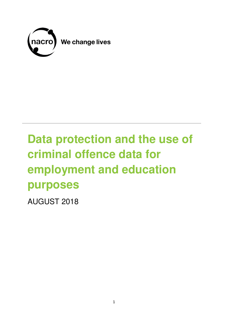

# **Data protection and the use of criminal offence data for employment and education purposes**

AUGUST 2018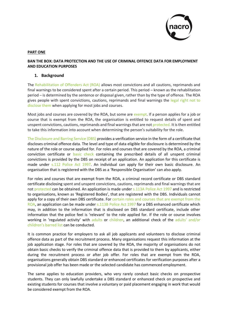

#### **PART ONE**

## **BAN THE BOX: DATA PROTECTION AND THE USE OF CRIMINAL OFFENCE DATA FOR EMPLOYMENT AND EDUCATION PURPOSES**

## **1. Background**

The [Rehabilitation of Offenders Act \(ROA\)](https://www.nacro.org.uk/wp-content/uploads/2018/07/Rehabilitation-of-Offenders-Act-1974-Guide-2018.pdf) allows most convictions and all cautions, reprimands and final warnings to be considered spent after a certain period. This period – known as the rehabilitation period – is determined by the sentence or disposal given, rather than by the type of offence. The ROA gives people with spent convictions, cautions, reprimands and final warnings the [legal right not to](https://www.nacro.org.uk/resettlement-advice-service/support-for-individuals/disclosing-criminal-records/disclosing-criminal-records-employers/)  [disclose them](https://www.nacro.org.uk/resettlement-advice-service/support-for-individuals/disclosing-criminal-records/disclosing-criminal-records-employers/) when applying for most jobs and courses.

Most jobs and courses are covered by the ROA, but some are [exempt.](https://www.gov.uk/government/publications/dbs-check-eligible-positions-guidance) If a person applies for a job or course that is exempt from the ROA, the organisation is entitled to request details of spent and unspent convictions, cautions, reprimands and final warnings that are not [protected.](https://www.nacro.org.uk/wp-content/uploads/2016/05/Practical-guidance-on-DBS-filtering_2016.pdf) It is then entitled to take this information into account when determining the person's suitability for the role.

[The Disclosure and Barring Service \(DBS\)](https://www.gov.uk/government/organisations/disclosure-and-barring-service) provides a verification service in the form of a certificate that discloses criminal offence data. The level and type of data eligible for disclosure is determined by the nature of the role or course applied for. For roles and courses that are covered by the ROA, a criminal conviction certificate or [basic check](https://www.gov.uk/government/publications/basic-checks) containing the prescribed details of all unspent criminal convictions is provided by the DBS on receipt of an application. An application for this certificate is made under [s.112 Police Act 1997.](https://www.legislation.gov.uk/ukpga/1997/50/section/112) An individual can apply for their own basic disclosure. An organisation that is registered with the DBS as a 'Responsible Organisation' can also apply.

For roles and courses that are exempt from the ROA, a criminal record certificate or DBS standard certificate disclosing spent and unspent convictions, cautions, reprimands and final warnings that are not [protected](https://www.nacro.org.uk/wp-content/uploads/2016/05/Practical-guidance-on-DBS-filtering_2016.pdf) can be obtained. An application is made under [s.113A Police Act 1997](https://www.legislation.gov.uk/ukpga/1997/50/section/113) and is restricted to organisations, known as 'Registered Bodies', that are registered with the DBS. Individuals cannot apply for a copy of their own DBS certificate. For certain roles and courses that are exempt from the [ROA,](https://www.gov.uk/government/publications/dbs-workforce-guidance) an application can be made under [s.113B Police Act 1997](https://www.legislation.gov.uk/ukpga/1997/50/section/115) for a DBS enhanced certificate which may, in addition to the information that is disclosed on DBS standard certificate, include other information that the police feel is 'relevant' to the role applied for. If the role or course involves working in 'regulated activity' with [adults](https://www.gov.uk/government/publications/new-disclosure-and-barring-services) or [children,](https://www.gov.uk/government/publications/keeping-children-safe-in-education--2) an additional check of the adults' and/or children's [barred list c](https://www.gov.uk/government/organisations/disclosure-and-barring-service/about#barring)an be conducted.

It is common practice for employers to ask all job applicants and volunteers to disclose criminal offence data as part of the recruitment process. Many organisations request this information at the job application stage. For roles that are covered by the ROA, the majority of organisations do not obtain basic checks to verify the criminal offence data that is provided to them by applicants, either during the recruitment process or after job offer. For roles that are exempt from the ROA, organisations generally obtain DBS standard or enhanced certificates for verification purposes after a provisional job offer has been made or the selected candidate has commenced employment.

The same applies to education providers, who very rarely conduct basic checks on prospective students. They can only lawfully undertake a DBS standard or enhanced check on prospective and existing students for courses that involve a voluntary or paid placement engaging in work that would be considered exempt from the ROA.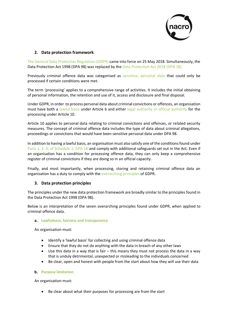

# **2. Data protection framework**

[The General Data Protection Regulation \(GDPR\) c](https://gdpr-info.eu/)ame into force on 25 May 2018. Simultaneously, the Data Protection Act 1998 (DPA 98) was replaced by the [Data Protection Act 2018 \(DPA 18\).](http://www.legislation.gov.uk/ukpga/2018/12/contents/enacted) 

Previously criminal offence data was categorised as [sensitive, personal data](http://www.legislation.gov.uk/ukpga/1998/29/section/2) that could only be processed if certain conditions were met.

The term 'processing' applies to a comprehensive range of activities. It includes the initial obtaining of personal information, the retention and use of it, access and disclosure and final disposal.

Under GDPR, in order to process personal data about criminal convictions or offences, an organisation must have both a [lawful basis](https://ico.org.uk/for-organisations/guide-to-the-general-data-protection-regulation-gdpr/lawful-basis-for-processing/) under Article 6 and either [legal authority or official authority](https://ico.org.uk/for-organisations/guide-to-the-general-data-protection-regulation-gdpr/lawful-basis-for-processing/criminal-offence-data/) for the processing under Article 10.

Article 10 applies to personal data relating to criminal convictions and offences, or related security measures. The concept of criminal offence data includes the type of data about criminal allegations, proceedings or convictions that would have been sensitive personal data under DPA 98.

In addition to having a lawful basis, an organisation must also satisfy one of the conditions found under [Parts 1, 2, 3, of Schedule 1, DPA 18](http://www.legislation.gov.uk/ukpga/2018/12/schedule/1/enacted) and comply with additional safeguards set out in the Act. Even if an organisation has a condition for processing offence data, they can only keep a comprehensive register of criminal convictions if they are doing so in an official capacity.

Finally, and most importantly, when processing, storing and retaining criminal offence data an organisation has a duty to comply with the [overarching principles](https://ico.org.uk/for-organisations/guide-to-the-general-data-protection-regulation-gdpr/principles/) of GDPR.

# **3. Data protection principles**

The principles under the new data protection framework are broadly similar to the principles found in the Data Protection Act 1998 (DPA 98).

Below is an interpretation of the seven overarching principles found under GDPR, when applied to criminal offence data.

#### **a. [Lawfulness, fairness and transparency](https://ico.org.uk/for-organisations/guide-to-the-general-data-protection-regulation-gdpr/principles/lawfulness-fairness-and-transparency/)**

An organisation must:

- Identify a 'lawful basis' for collecting and using criminal offence data
- Ensure that they do not do anything with the data in breach of any other laws
- Use this data in a way that is fair this means they must not process the data in a way that is unduly detrimental, unexpected or misleading to the individuals concerned
- Be clear, open and honest with people from the start about how they will use their data

#### **b. [Purpose limitation](https://ico.org.uk/for-organisations/guide-to-the-general-data-protection-regulation-gdpr/principles/purpose-limitation/)**

An organisation must:

Be clear about what their purposes for processing are from the start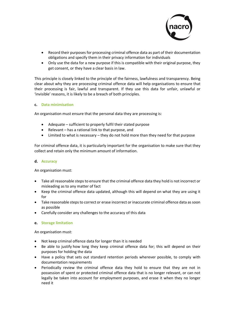

- Record their purposes for processing criminal offence data as part of their documentation obligations and specify them in their privacy information for individuals
- Only use the data for a new purpose if this is compatible with their original purpose, they get consent, or they have a clear basis in law.

This principle is closely linked to the principle of the fairness, lawfulness and transparency. Being clear about why they are processing criminal offence data will help organisations to ensure that their processing is fair, lawful and transparent. If they use this data for unfair, unlawful or 'invisible' reasons, it is likely to be a breach of both principles.

#### **c. [Data minimisation](https://ico.org.uk/for-organisations/guide-to-the-general-data-protection-regulation-gdpr/principles/data-minimisation/)**

An organisation must ensure that the personal data they are processing is:

- Adequate sufficient to properly fulfil their stated purpose
- Relevant has a rational link to that purpose, and
- Limited to what is necessary they do not hold more than they need for that purpose

For criminal offence data, it is particularly important for the organisation to make sure that they collect and retain only the minimum amount of information.

#### **d. [Accuracy](https://ico.org.uk/for-organisations/guide-to-the-general-data-protection-regulation-gdpr/principles/accuracy/)**

An organisation must:

- Take all reasonable steps to ensure that the criminal offence data they hold is not incorrect or misleading as to any matter of fact
- Keep the criminal offence data updated, although this will depend on what they are using it for
- Take reasonable steps to correct or erase incorrect or inaccurate criminal offence data as soon as possible
- Carefully consider any challenges to the accuracy of this data

#### **e. [Storage limitation](https://ico.org.uk/for-organisations/guide-to-the-general-data-protection-regulation-gdpr/principles/storage-limitation/)**

An organisation must:

- Not keep criminal offence data for longer than it is needed
- Be able to justify how long they keep criminal offence data for; this will depend on their purposes for holding the data
- Have a policy that sets out standard retention periods wherever possible, to comply with documentation requirements
- Periodically review the criminal offence data they hold to ensure that they are not in possession of spent or protected criminal offence data that is no longer relevant, or can not legally be taken into account for employment purposes, and erase it when they no longer need it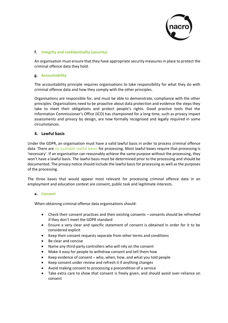

## **f. [Integrity and confidentiality \(security\)](https://ico.org.uk/for-organisations/guide-to-the-general-data-protection-regulation-gdpr/principles/integrity-and-confidentiality-security/)**

An organisation must ensure that they have appropriate security measures in place to protect the criminal offence data they hold.

#### **g. [Accountability](https://ico.org.uk/for-organisations/guide-to-the-general-data-protection-regulation-gdpr/accountability-and-governance/)**

The accountability principle requires organisations to take responsibility for what they do with criminal offence data and how they comply with the other principles.

Organisations are responsible for, and must be able to demonstrate, compliance with the other principles. Organisations need to be proactive about data protection and evidence the steps they take to meet their obligations and protect people's rights. Good practice tools that the Information Commissioner's Office (ICO) has championed for a long time, such as privacy impact assessments and privacy by design, are now formally recognised and legally required in some circumstances.

# **4. Lawful basis**

Under the GDPR, an organisation must have a valid lawful basis in order to process criminal offence data. There are [six available lawful bases](https://ico.org.uk/for-organisations/guide-to-the-general-data-protection-regulation-gdpr/lawful-basis-for-processing/) for processing. Most lawful bases require that processing is 'necessary'. If an organisation can reasonably achieve the same purpose without the processing, they won't have a lawful basis. The lawful basis must be determined prior to the processing and should be documented. The privacy notice should include the lawful basis for processing as well as the purposes of the processing.

The three bases that would appear most relevant for processing criminal offence data in an employment and education context are consent, public task and legitimate interests.

#### **a. [Consent](https://ico.org.uk/for-organisations/guide-to-the-general-data-protection-regulation-gdpr/lawful-basis-for-processing/consent/)**

When obtaining criminal offence data organisations should:

- Check their consent practices and their existing consents consents should be refreshed if they don't meet the GDPR standard
- Ensure a very clear and specific statement of consent is obtained in order for it to be considered explicit
- Keep their consent requests separate from other terms and conditions
- Be clear and concise
- Name any third-party controllers who will rely on the consent
- Make it easy for people to withdraw consent and tell them how
- Keep evidence of consent who, when, how, and what you told people
- Keep consent under review and refresh it if anything changes
- Avoid making consent to processing a precondition of a service
- Take extra care to show that consent is freely given, and should avoid over-reliance on consent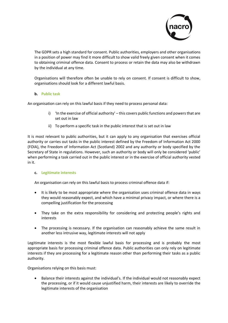

The GDPR sets a high standard for consent. Public authorities, employers and other organisations in a position of power may find it more difficult to show valid freely given consent when it comes to obtaining criminal offence data. Consent to process or retain the data may also be withdrawn by the individual at any time.

Organisations will therefore often be unable to rely on consent. If consent is difficult to show, organisations should look for a different lawful basis.

#### **b. [Public task](https://ico.org.uk/for-organisations/guide-to-the-general-data-protection-regulation-gdpr/lawful-basis-for-processing/public-task/)**

An organisation can rely on this lawful basis if they need to process personal data:

- i) 'In the exercise of official authority' this covers public functions and powers that are set out in law
- ii) To perform a specific task in the public interest that is set out in law

It is most relevant to public authorities, but it can apply to any organisation that exercises official authority or carries out tasks in the public interest defined by the Freedom of Information Act 2000 (FOIA), the Freedom of Information Act (Scotland) 2002 and any authority or body specified by the Secretary of State in regulations. However, such an authority or body will only be considered 'public' when performing a task carried out in the public interest or in the exercise of official authority vested in it.

#### **c. [Legitimate interests](https://ico.org.uk/for-organisations/guide-to-the-general-data-protection-regulation-gdpr/lawful-basis-for-processing/legitimate-interests/)**

An organisation can rely on this lawful basis to process criminal offence data if:

- It is likely to be most appropriate where the organisation uses criminal offence data in ways they would reasonably expect, and which have a minimal privacy impact, or where there is a compelling justification for the processing
- They take on the extra responsibility for considering and protecting people's rights and interests
- The processing is necessary. If the organisation can reasonably achieve the same result in another less intrusive way, legitimate interests will not apply

Legitimate interests is the most flexible lawful basis for processing and is probably the most appropriate basis for processing criminal offence data. Public authorities can only rely on legitimate interests if they are processing for a legitimate reason other than performing their tasks as a public authority.

Organisations relying on this basis must:

 Balance their interests against the individual's. If the individual would not reasonably expect the processing, or if it would cause unjustified harm, their interests are likely to override the legitimate interests of the organisation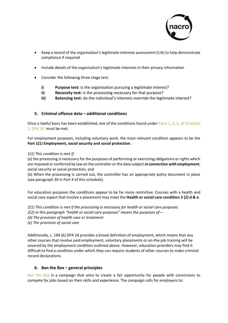

- Keep a record of the organisation's legitimate interests assessment (LIA) to help demonstrate compliance if required
- Include details of the organisation's legitimate interests in their privacy information
- Consider the following three stage test:
	- **i) Purpose test:** is the organisation pursuing a legitimate interest?
	- **ii) Necessity test:** is the processing necessary for that purpose?
	- **iii) Balancing test:** do the individual's interests override the legitimate interest?

# **5. Criminal offence data – additional conditions**

Once a lawful basis has been established, one of the conditions found under [Parts 1, 2, 3, of Schedule](http://www.legislation.gov.uk/ukpga/2018/12/schedule/1/enacted)  [1, DPA 18](http://www.legislation.gov.uk/ukpga/2018/12/schedule/1/enacted) must be met.

For employment purposes, including voluntary work, the most relevant condition appears to be the **Part 1(1) Employment, social security and social protection.** 

# *1(1) This condition is met if:*

(a) the processing is necessary for the purposes of performing or exercising obligations or rights which are imposed or conferred by law on the controller or the data subject *in connection with employment*, social security or social protection, and

(b) When the processing is carried out, the controller has an appropriate policy document in place (see paragraph 39 in Part 4 of this schedule).

For education purposes the conditions appear to be far more restrictive. Courses with a health and social care aspect that involve a placement may meet the **Health or social care condition 2 (2) d & e**.

*2(1) This condition is met if the processing is necessary for health or social care purposes. 2(2) In this paragraph "health or social care purposes" means the purposes of— (d) The provision of health care or treatment (e) The provision of social care* 

Additionally, s. 184 (6) DPA 18 provides a broad definition of employment, which means that any other courses that involve paid employment, voluntary placements or on-the-job training will be covered by the employment condition outlined above. However, education providers may find it difficult to find a condition under which they can require students of other courses to make criminal record declarations.

# **6. Ban the Box – general principles**

[Ban the Box](https://www.bitc.org.uk/programmes/ban-box/why-should-we-ban-box) is a campaign that aims to create a fair opportunity for people with convictions to compete for jobs based on their skills and experience. The campaign calls for employers to: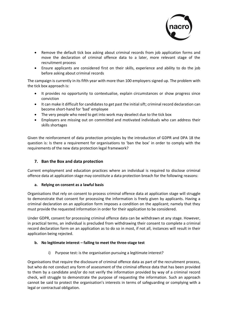

- Remove the default tick box asking about criminal records from job application forms and move the declaration of criminal offence data to a later, more relevant stage of the recruitment process
- Ensure applicants are considered first on their skills, experience and ability to do the job before asking about criminal records

The campaign is currently in its fifth year with more than 100 employers signed up. The problem with the tick box approach is:

- It provides no opportunity to contextualise, explain circumstances or show progress since conviction
- It can make it difficult for candidates to get past the initial sift; criminal record declaration can become short-hand for 'bad' employee
- The very people who need to get into work may deselect due to the tick box
- Employers are missing out on committed and motivated individuals who can address their skills shortages

Given the reinforcement of data protection principles by the introduction of GDPR and DPA 18 the question is: Is there a requirement for organisations to 'ban the box' in order to comply with the requirements of the new data protection legal framework?

# **7. Ban the Box and data protection**

Current employment and education practices where an individual is required to disclose criminal offence data at application stage may constitute a data protection breach for the following reasons:

# **a. Relying on consent as a lawful basis**

Organisations that rely on consent to process criminal offence data at application stage will struggle to demonstrate that consent for processing the information is freely given by applicants. Having a criminal declaration on an application form imposes a condition on the applicant; namely that they must provide the requested information in order for their application to be considered.

Under GDPR, consent for processing criminal offence data can be withdrawn at any stage. However, in practical terms, an individual is precluded from withdrawing their consent to complete a criminal record declaration form on an application as to do so in most, if not all, instances will result in their application being rejected.

# **b. No legitimate interest – failing to meet the three-stage test**

i) Purpose test: is the organisation pursuing a legitimate interest?

Organisations that require the disclosure of criminal offence data as part of the recruitment process, but who do not conduct any form of assessment of the criminal offence data that has been provided to them by a candidate and/or do not verify the information provided by way of a criminal record check, will struggle to demonstrate the purpose of requesting the information. Such an approach cannot be said to protect the organisation's interests in terms of safeguarding or complying with a legal or contractual obligation.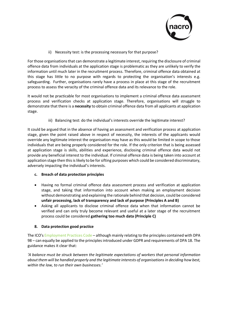

ii) Necessity test: is the processing necessary for that purpose?

For those organisations that can demonstrate a legitimate interest, requiring the disclosure of criminal offence data from individuals at the application stage is problematic as they are unlikely to verify the information until much later in the recruitment process. Therefore, criminal offence data obtained at this stage has little to no purpose with regards to protecting the organisation's interests e.g. safeguarding. Further, organisations rarely have a process in place at this stage of the recruitment process to assess the veracity of the criminal offence data and its relevance to the role.

It would not be practicable for most organisations to implement a criminal offence data assessment process and verification checks at application stage. Therefore, organisations will struggle to demonstrate that there is a **necessity** to obtain criminal offence data from all applicants at application stage.

iii) Balancing test: do the individual's interests override the legitimate interest?

It could be argued that in the absence of having an assessment and verification process at application stage, given the point raised above in respect of necessity, the interests of the applicants would override any legitimate interest the organisation may have as this would be limited in scope to those individuals that are being properly considered for the role. If the only criterion that is being assessed at application stage is skills, abilities and experience, disclosing criminal offence data would not provide any beneficial interest to the individual. If criminal offence data is being taken into account at application stage then this is likely to be for sifting purposes which could be considered discriminatory, adversely impacting the individual's interests.

- **c. Breach of data protection principles**
- Having no formal criminal offence data assessment process and verification at application stage, and taking that information into account when making an employment decision without demonstrating and explaining the rationale behind that decision, could be considered **unfair processing, lack of transparency and lack of purpose (Principles A and B)**
- Asking all applicants to disclose criminal offence data when that information cannot be verified and can only truly become relevant and useful at a later stage of the recruitment process could be considered **gathering too much data (Principle C)**

# **8. Data protection good practice**

The ICO's [Employment Practices Code](https://ico.org.uk/media/for-organisations/documents/1064/the_employment_practices_code.pdf) – although mainly relating to the principles contained with DPA 98 – can equally be applied to the principles introduced under GDPR and requirements of DPA 18. The guidance makes it clear that:

*'A balance must be struck between the legitimate expectations of workers that personal information about them will be handled properly and the legitimate interests of organisations in deciding how best, within the law, to run their own businesses.'*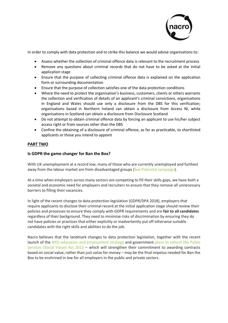

In order to comply with data protection and to strike this balance we would advise organisations to:

- Assess whether the collection of criminal offence data is relevant to the recruitment process
- Remove any questions about criminal records that do not have to be asked at the initial application stage
- Ensure that the purpose of collecting criminal offence data is explained on the application form or surrounding documentation
- Ensure that the purpose of collection satisfies one of the data protection conditions
- Where the need to protect the organisation's business, customers, clients or others warrants the collection and verification of details of an applicant's criminal convictions, organisations in England and Wales should use only a disclosure from the DBS for this verification; organisations based in Northern Ireland can obtain a disclosure from Access NI, while organisations in Scotland can obtain a disclosure from Disclosure Scotland
- Do not attempt to obtain criminal offence data by forcing an applicant to use his/her subject access right or from sources other than the DBS
- Confine the obtaining of a disclosure of criminal offence, as far as practicable, to shortlisted applicants or those you intend to appoint

# **PART TWO**

# **Is GDPR the game changer for Ban the Box?**

With UK unemployment at a record low, many of those who are currently unemployed and furthest away from the labour market are from disadvantaged groups [\(See Potential campaign\)](https://seepotential.campaign.gov.uk/).

At a time when employers across many sectors are competing to fill their skills gaps, we have both a societal and economic need for employers and recruiters to ensure that they remove all unnecessary barriers to filling their vacancies.

In light of the recent changes to data protection legislation (GDPR/DPA 2018), employers that require applicants to disclose their criminal record at the initial application stage should review their policies and processes to ensure they comply with GDPR requirements and are **fair to all candidates** regardless of their background. They need to minimise risks of discrimination by ensuring they do not have policies or practices that either explicitly or inadvertently put off otherwise suitable candidates with the right skills and abilities to do the job.

Nacro believes that the landmark changes to data protection legislation, together with the recent launch of the [MOJ education and employment strategy](https://assets.publishing.service.gov.uk/government/uploads/system/uploads/attachment_data/file/710406/education-and-employment-strategy-2018.pdf) and government plans to reform the Public [Services \(Social Value\) Act 2013](https://www.thirdsector.co.uk/minister-promises-extend-scope-social-value-act/policy-and-politics/article/1485898) – which will strengthen their commitment to awarding contracts based on social value, rather than just value for money – may be the final impetus needed for Ban the Box to be enshrined in law for all employers in the public and private sectors.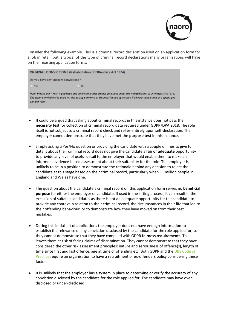

Consider the following example. This is a criminal record declaration used on an application form for a job in retail, but is typical of the type of criminal record declarations many organisations will have on their existing application forms:



- It could be argued that asking about criminal records in this instance does not pass the **necessity test** for collection of criminal record data required under GDPR/DPA 2018. The role itself is not subject to a criminal record check and relies entirely upon self-declaration. The employer cannot demonstrate that they have met the **purpose test** in this instance.
- Simply asking a Yes/No question or providing the candidate with a couple of lines to give full details about their criminal record does not give the candidate a **fair or adequate** opportunity to provide any level of useful detail to the employer that would enable them to make an informed, evidence-based assessment about their suitability for the role. The employer is unlikely to be in a position to demonstrate the rationale behind any decision to reject the candidate at this stage based on their criminal record, particularly when 11 million people in England and Wales have one.
- The question about the candidate's criminal record on this application form serves no **beneficial purpose** for either the employer or candidate. If used in the sifting process, it can result in the exclusion of suitable candidates as there is not an adequate opportunity for the candidate to provide any context in relation to their criminal record, the circumstances in their life that led to their offending behaviour, or to demonstrate how they have moved on from their past mistakes.
- During this initial sift of applications the employer does not have enough information to establish the relevance of any conviction disclosed by the candidate for the role applied for, so they cannot demonstrate that they have complied with GDPR **fairness requirements.** This leaves them at risk of facing claims of discrimination. They cannot demonstrate that they have considered the other risk assessment principles: nature and seriousness of offence(s), length of time since first and last offence, age at time of offending etc. Both GDPR and the DBS Code of [Practice](https://www.gov.uk/government/publications/dbs-code-of-practice) require an organisation to have a recruitment of ex-offenders policy considering these factors.
- It is unlikely that the employer has a system in place to determine or verify the accuracy of any conviction disclosed by the candidate for the role applied for. The candidate may have overdisclosed or under-disclosed.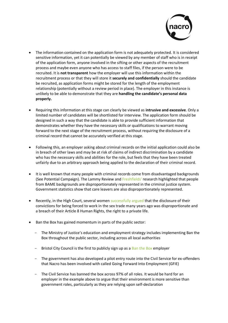

- The information contained on the application form is not adequately protected. It is considered sensitive information, yet it can potentially be viewed by any member of staff who is in receipt of the application form, anyone involved in the sifting or other aspects of the recruitment process and maybe even anyone who has access to staff files, if the person were to be recruited. It is **not transparent** how the employer will use this information within the recruitment process or that they will store it **securely and confidentially** should the candidate be recruited, as application forms might be stored for the length of the employment relationship (potentially without a review period in place). The employer in this instance is unlikely to be able to demonstrate that they are **handling the candidate's personal data properly.**
- Requiring this information at this stage can clearly be viewed as **intrusive and excessive**. Only a limited number of candidates will be shortlisted for interview. The application form should be designed in such a way that the candidate is able to provide sufficient information that demonstrates whether they have the necessary skills or qualifications to warrant moving forward to the next stage of the recruitment process, without requiring the disclosure of a criminal record that cannot be accurately verified at this stage.
- Following this, an employer asking about criminal records on the initial application could also be in breach of other laws and may be at risk of claims of indirect discrimination by a candidate who has the necessary skills and abilities for the role, but feels that they have been treated unfairly due to an arbitrary approach being applied to the declaration of their criminal record.
- It is well known that many people with criminal records come from disadvantaged backgrounds (See Potential Campaign). The Lammy Review an[d Freshfields'](https://www.bitc.org.uk/sites/default/files/employer_factsheet_race_inequality_in_the_criminal_justice_system_0.pdf) research highlighted that people from BAME backgrounds are disproportionately represented in the criminal justice system. Government statistics show that care leavers are also disproportionately represented.
- Recently, in the High Court, several women [successfully argued t](https://www.bbc.co.uk/news/uk-43261021)hat the disclosure of their convictions for being forced to work in the sex trade many years ago was disproportionate and a breach of their Article 8 Human Rights, the right to a private life.
- Ban the Box has gained momentum in parts of the public sector:
	- The Ministry of Justice's education and employment strategy includes implementing Ban the Box throughout the public sector, including across all local authorities
	- $-$  Bristol City Council is the first to publicly sign up as a [Ban the Box e](https://democracy.bristol.gov.uk/documents/s7469/4%20Ban%20the%20Box.pdf)mployer
	- The government has also developed a pilot entry route into the Civil Service for ex-offenders that Nacro has been involved with called Going Forward Into Employment (GFIE)
	- The Civil Service has banned the box across 97% of all roles. It would be hard for an employer in the example above to argue that their environment is more sensitive than government roles, particularly as they are relying upon self-declaration